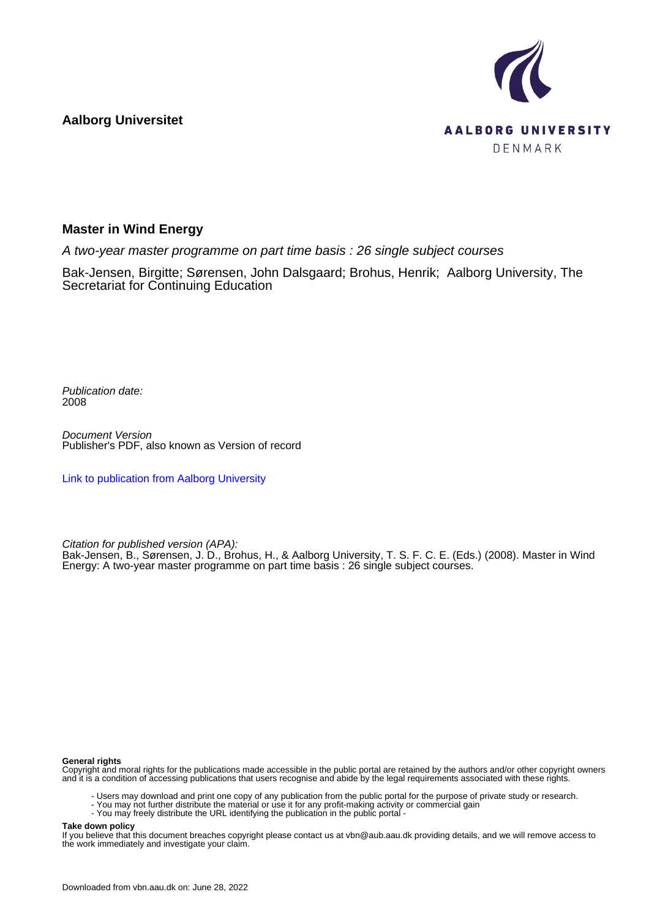**Aalborg Universitet**



### **Master in Wind Energy**

A two-year master programme on part time basis : 26 single subject courses

Bak-Jensen, Birgitte; Sørensen, John Dalsgaard; Brohus, Henrik; Aalborg University, The Secretariat for Continuing Education

Publication date: 2008

Document Version Publisher's PDF, also known as Version of record

[Link to publication from Aalborg University](https://vbn.aau.dk/en/publications/a0b83070-8ec5-11dd-93c5-000ea68e967b)

Citation for published version (APA):

Bak-Jensen, B., Sørensen, J. D., Brohus, H., & Aalborg University, T. S. F. C. E. (Eds.) (2008). Master in Wind Energy: A two-year master programme on part time basis : 26 single subject courses.

#### **General rights**

Copyright and moral rights for the publications made accessible in the public portal are retained by the authors and/or other copyright owners and it is a condition of accessing publications that users recognise and abide by the legal requirements associated with these rights.

- Users may download and print one copy of any publication from the public portal for the purpose of private study or research.
- You may not further distribute the material or use it for any profit-making activity or commercial gain
- You may freely distribute the URL identifying the publication in the public portal -

#### **Take down policy**

If you believe that this document breaches copyright please contact us at vbn@aub.aau.dk providing details, and we will remove access to the work immediately and investigate your claim.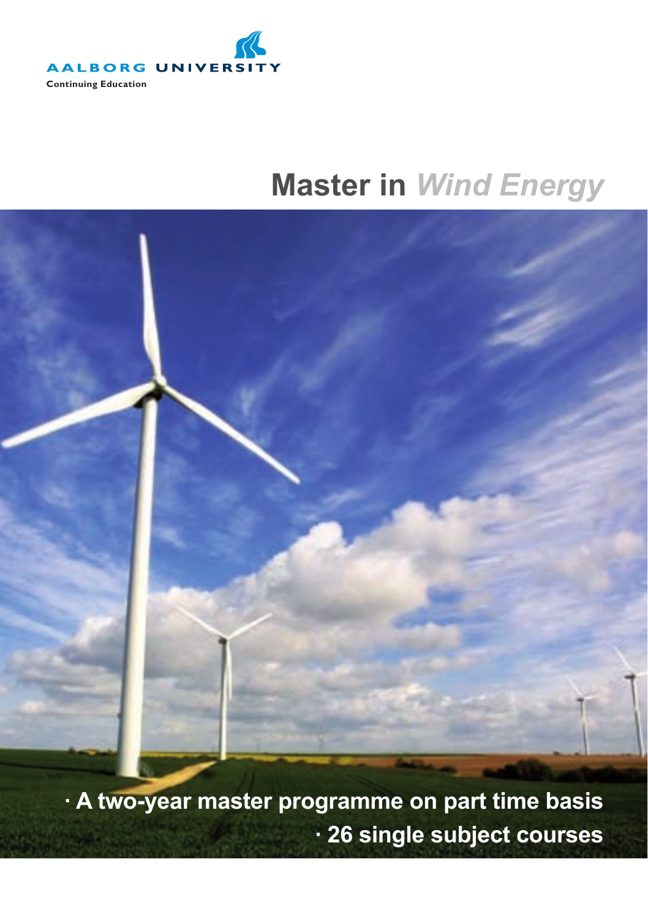

# **Master in** *Wind Energy*



**· A two-year master programme on part time basis · 26 single subject courses**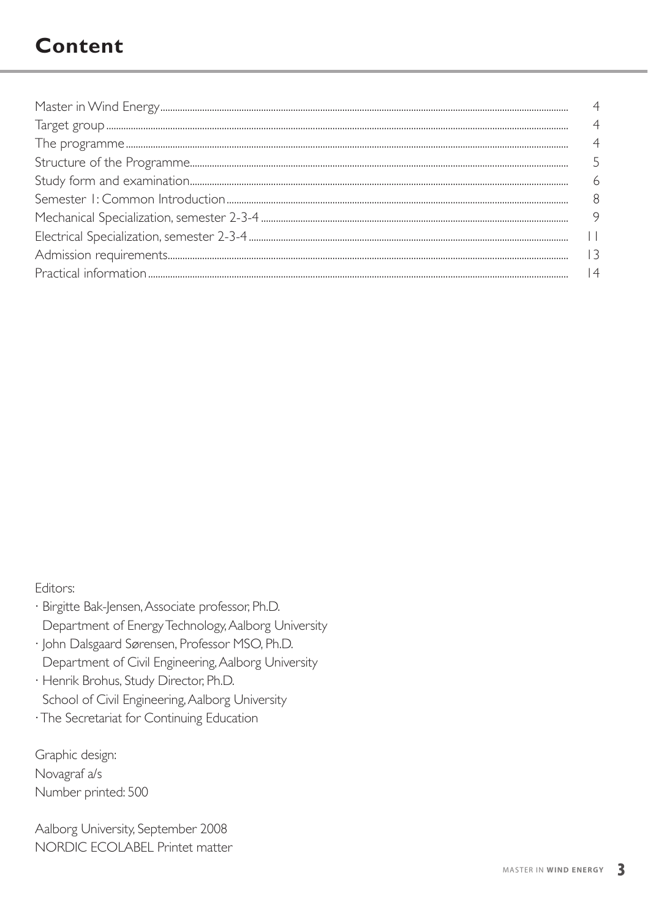# **Content**

| $\overline{4}$ |
|----------------|
|                |
|                |
|                |
| 9              |
|                |
|                |
| 4              |

Editors:

- · Birgitte Bak-Jensen, Associate professor, Ph.D. Department of Energy Technology, Aalborg University
- · John Dalsgaard Sørensen, Professor MSO, Ph.D. Department of Civil Engineering, Aalborg University
- · Henrik Brohus, Study Director, Ph.D. School of Civil Engineering, Aalborg University
- · The Secretariat for Continuing Education

Graphic design: Novagraf a/s Number printed: 500

Aalborg University, September 2008 NORDIC FCOI ABEL Printet matter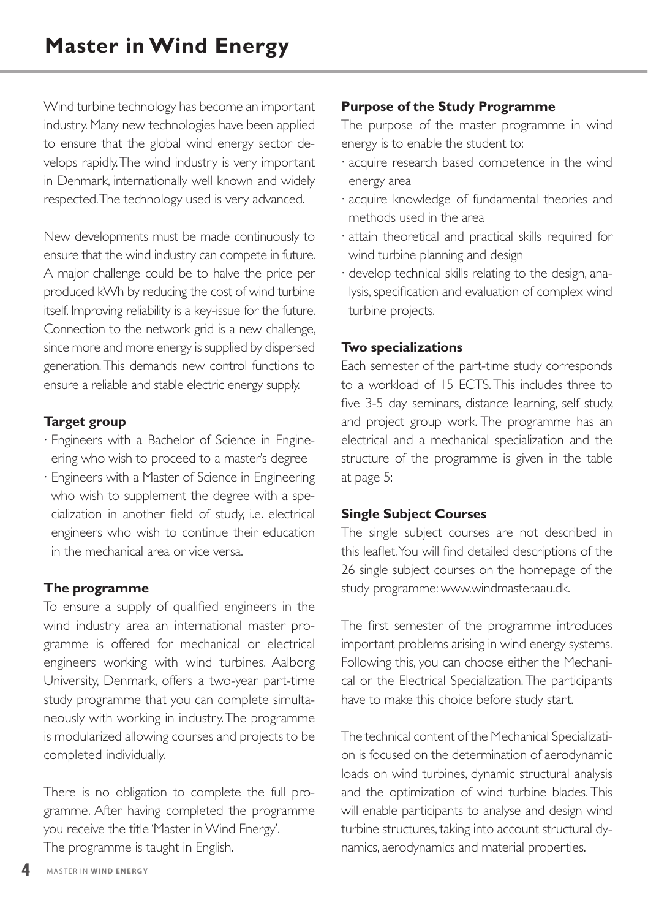Wind turbine technology has become an important industry. Many new technologies have been applied to ensure that the global wind energy sector develops rapidly. The wind industry is very important in Denmark, internationally well known and widely respected. The technology used is very advanced.

New developments must be made continuously to ensure that the wind industry can compete in future. A major challenge could be to halve the price per produced kWh by reducing the cost of wind turbine itself. Improving reliability is a key-issue for the future. Connection to the network grid is a new challenge, since more and more energy is supplied by dispersed generation. This demands new control functions to ensure a reliable and stable electric energy supply.

#### **Target group**

- · Engineers with a Bachelor of Science in Engineering who wish to proceed to a master's degree
- · Engineers with a Master of Science in Engineering who wish to supplement the degree with a specialization in another field of study, i.e. electrical engineers who wish to continue their education in the mechanical area or vice versa.

#### **The programme**

To ensure a supply of qualified engineers in the wind industry area an international master programme is offered for mechanical or electrical engineers working with wind turbines. Aalborg University, Denmark, offers a two-year part-time study programme that you can complete simultaneously with working in industry. The programme is modularized allowing courses and projects to be completed individually.

There is no obligation to complete the full programme. After having completed the programme you receive the title 'Master in Wind Energy'. The programme is taught in English.

#### **Purpose of the Study Programme**

The purpose of the master programme in wind energy is to enable the student to:

- · acquire research based competence in the wind energy area
- · acquire knowledge of fundamental theories and methods used in the area
- · attain theoretical and practical skills required for wind turbine planning and design
- · develop technical skills relating to the design, analysis, specification and evaluation of complex wind turbine projects.

#### **Two specializations**

Each semester of the part-time study corresponds to a workload of 15 ECTS. This includes three to five 3-5 day seminars, distance learning, self study, and project group work. The programme has an electrical and a mechanical specialization and the structure of the programme is given in the table at page 5:

#### **Single Subject Courses**

The single subject courses are not described in this leaflet. You will find detailed descriptions of the 26 single subject courses on the homepage of the study programme: www.windmaster.aau.dk.

The first semester of the programme introduces important problems arising in wind energy systems. Following this, you can choose either the Mechanical or the Electrical Specialization. The participants have to make this choice before study start.

The technical content of the Mechanical Specialization is focused on the determination of aerodynamic loads on wind turbines, dynamic structural analysis and the optimization of wind turbine blades. This will enable participants to analyse and design wind turbine structures, taking into account structural dynamics, aerodynamics and material properties.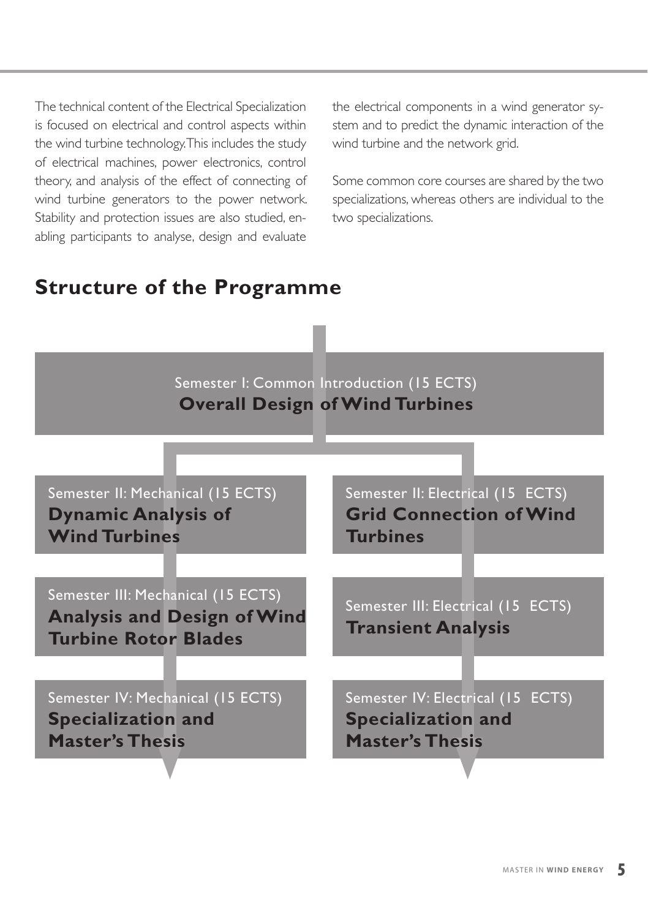The technical content of the Electrical Specialization is focused on electrical and control aspects within the wind turbine technology. This includes the study of electrical machines, power electronics, control theory, and analysis of the effect of connecting of wind turbine generators to the power network. Stability and protection issues are also studied, enabling participants to analyse, design and evaluate

the electrical components in a wind generator system and to predict the dynamic interaction of the wind turbine and the network grid.

Some common core courses are shared by the two specializations, whereas others are individual to the two specializations.

### **Structure of the Programme**

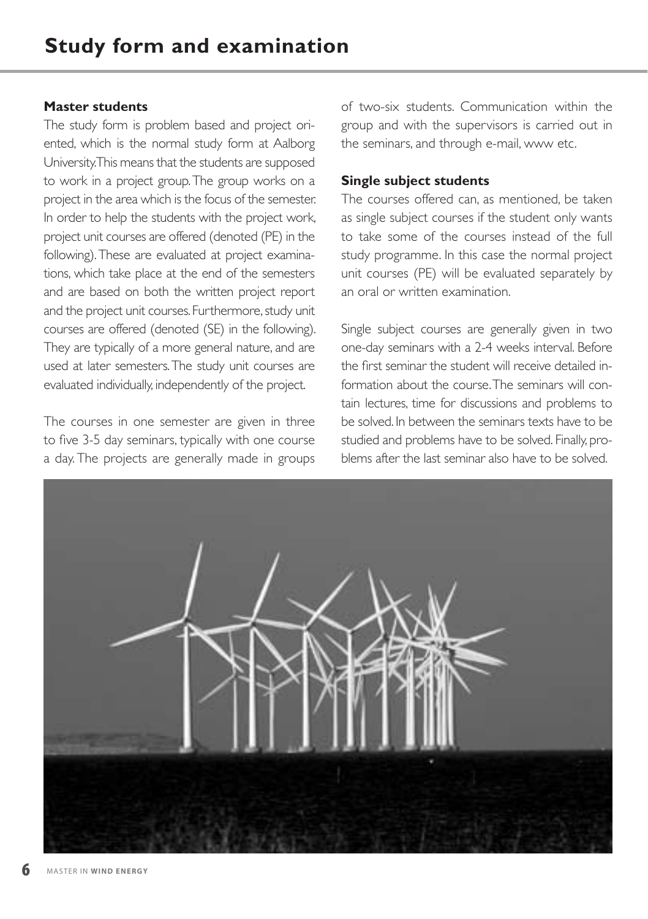#### **Master students**

The study form is problem based and project oriented, which is the normal study form at Aalborg University. This means that the students are supposed to work in a project group. The group works on a project in the area which is the focus of the semester. In order to help the students with the project work, project unit courses are offered (denoted (PE) in the following). These are evaluated at project examinations, which take place at the end of the semesters and are based on both the written project report and the project unit courses. Furthermore, study unit courses are offered (denoted (SE) in the following). They are typically of a more general nature, and are used at later semesters. The study unit courses are evaluated individually, independently of the project.

The courses in one semester are given in three to five 3-5 day seminars, typically with one course a day. The projects are generally made in groups of two-six students. Communication within the group and with the supervisors is carried out in the seminars, and through e-mail, www etc.

#### **Single subject students**

The courses offered can, as mentioned, be taken as single subject courses if the student only wants to take some of the courses instead of the full study programme. In this case the normal project unit courses (PE) will be evaluated separately by an oral or written examination.

Single subject courses are generally given in two one-day seminars with a 2-4 weeks interval. Before the first seminar the student will receive detailed information about the course. The seminars will contain lectures, time for discussions and problems to be solved. In between the seminars texts have to be studied and problems have to be solved. Finally, problems after the last seminar also have to be solved.

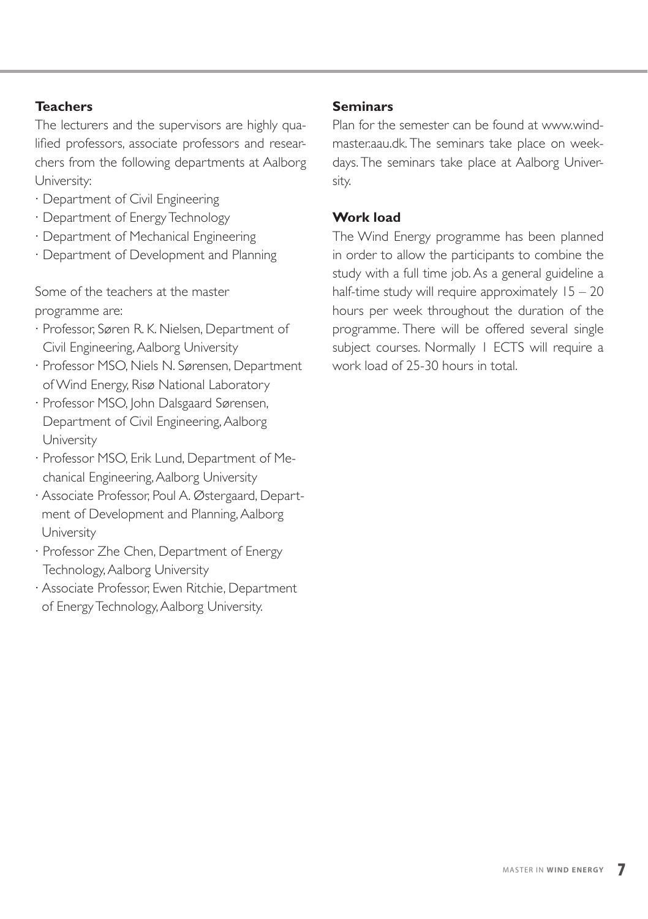#### **Teachers**

The lecturers and the supervisors are highly qualified professors, associate professors and researchers from the following departments at Aalborg University:

- · Department of Civil Engineering
- · Department of Energy Technology
- · Department of Mechanical Engineering
- · Department of Development and Planning

Some of the teachers at the master programme are:

- · Professor, Søren R. K. Nielsen, Department of Civil Engineering, Aalborg University
- · Professor MSO, Niels N. Sørensen, Department of Wind Energy, Risø National Laboratory
- · Professor MSO, John Dalsgaard Sørensen, Department of Civil Engineering, Aalborg University
- · Professor MSO, Erik Lund, Department of Mechanical Engineering, Aalborg University
- · Associate Professor, Poul A. Østergaard, Department of Development and Planning, Aalborg University
- · Professor Zhe Chen, Department of Energy Technology, Aalborg University
- · Associate Professor, Ewen Ritchie, Department of Energy Technology, Aalborg University.

#### **Seminars**

Plan for the semester can be found at www.windmaster.aau.dk. The seminars take place on weekdays. The seminars take place at Aalborg University.

#### **Work load**

The Wind Energy programme has been planned in order to allow the participants to combine the study with a full time job. As a general guideline a half-time study will require approximately  $15 - 20$ hours per week throughout the duration of the programme. There will be offered several single subject courses. Normally 1 ECTS will require a work load of 25-30 hours in total.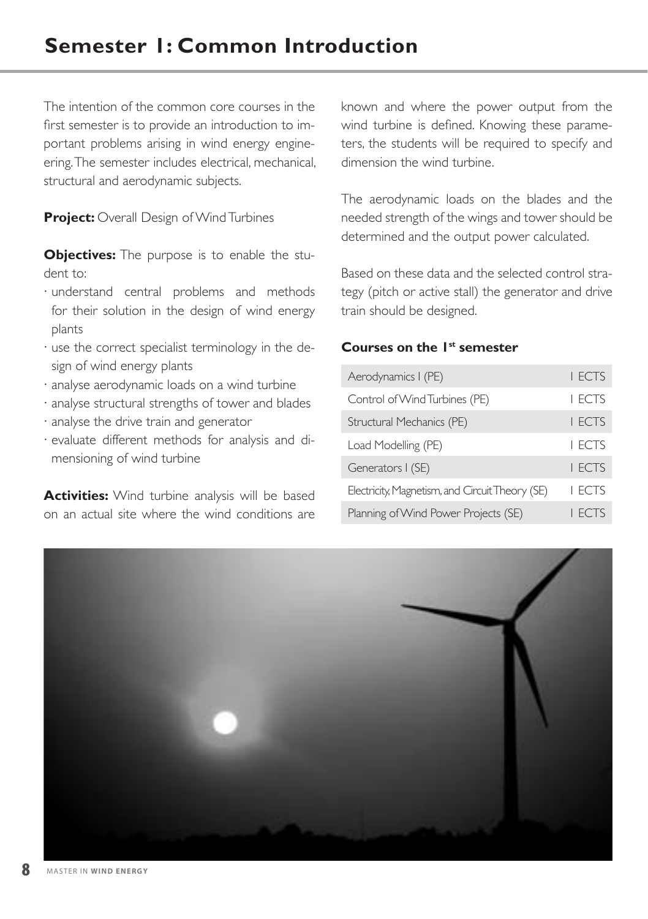# **Semester 1: Common Introduction**

The intention of the common core courses in the first semester is to provide an introduction to important problems arising in wind energy engineering. The semester includes electrical, mechanical, structural and aerodynamic subjects.

#### **Project:** Overall Design of Wind Turbines

**Objectives:** The purpose is to enable the student to:

- · understand central problems and methods for their solution in the design of wind energy plants
- · use the correct specialist terminology in the design of wind energy plants
- · analyse aerodynamic loads on a wind turbine
- · analyse structural strengths of tower and blades
- · analyse the drive train and generator
- · evaluate different methods for analysis and dimensioning of wind turbine

**Activities:** Wind turbine analysis will be based on an actual site where the wind conditions are

known and where the power output from the wind turbine is defined. Knowing these parameters, the students will be required to specify and dimension the wind turbine.

The aerodynamic loads on the blades and the needed strength of the wings and tower should be determined and the output power calculated.

Based on these data and the selected control strategy (pitch or active stall) the generator and drive train should be designed.

#### **Courses on the 1st semester**

| Aerodynamics I (PE)                             | <b>I FCTS</b> |
|-------------------------------------------------|---------------|
| Control of Wind Turbines (PE)                   | <b>I FCTS</b> |
| Structural Mechanics (PE)                       | <b>I FCTS</b> |
| Load Modelling (PE)                             | <b>I FCTS</b> |
| Generators I (SE)                               | <b>I FCTS</b> |
| Electricity, Magnetism, and Circuit Theory (SE) | <b>I ECTS</b> |
| Planning of Wind Power Projects (SE)            | <b>FCTS</b>   |

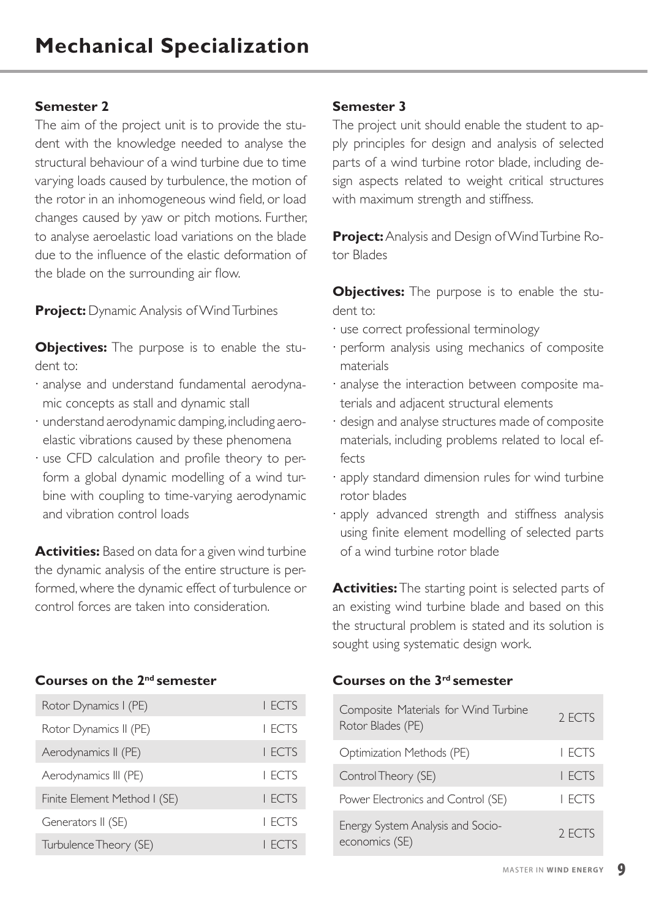The aim of the project unit is to provide the student with the knowledge needed to analyse the structural behaviour of a wind turbine due to time varying loads caused by turbulence, the motion of the rotor in an inhomogeneous wind field, or load changes caused by yaw or pitch motions. Further, to analyse aeroelastic load variations on the blade due to the influence of the elastic deformation of the blade on the surrounding air flow.

**Project:** Dynamic Analysis of Wind Turbines

**Objectives:** The purpose is to enable the student to:

- · analyse and understand fundamental aerodynamic concepts as stall and dynamic stall
- · understand aerodynamic damping, including aeroelastic vibrations caused by these phenomena
- · use CFD calculation and profile theory to perform a global dynamic modelling of a wind turbine with coupling to time-varying aerodynamic and vibration control loads

**Activities:** Based on data for a given wind turbine the dynamic analysis of the entire structure is performed, where the dynamic effect of turbulence or control forces are taken into consideration.

#### **Courses on the 2nd semester**

| Rotor Dynamics I (PE)        | <b>I FCTS</b> |
|------------------------------|---------------|
| Rotor Dynamics II (PE)       | I FCTS        |
| Aerodynamics II (PE)         | <b>I FCTS</b> |
| Aerodynamics III (PE)        | I FCTS        |
| Finite Element Method I (SE) | <b>I FCTS</b> |
| Generators II (SE)           | I FCTS        |
| Turbulence Theory (SE)       | <b>I FCTS</b> |

#### **Semester 3**

The project unit should enable the student to apply principles for design and analysis of selected parts of a wind turbine rotor blade, including design aspects related to weight critical structures with maximum strength and stiffness.

**Project:** Analysis and Design of Wind Turbine Rotor Blades

**Objectives:** The purpose is to enable the student to:

- · use correct professional terminology
- · perform analysis using mechanics of composite materials
- · analyse the interaction between composite materials and adjacent structural elements
- · design and analyse structures made of composite materials, including problems related to local effects
- · apply standard dimension rules for wind turbine rotor blades
- · apply advanced strength and stiffness analysis using finite element modelling of selected parts of a wind turbine rotor blade

**Activities:** The starting point is selected parts of an existing wind turbine blade and based on this the structural problem is stated and its solution is sought using systematic design work.

### **Courses on the 3rd semester**

| Composite Materials for Wind Turbine<br>Rotor Blades (PE) | 2 FCTS |
|-----------------------------------------------------------|--------|
| Optimization Methods (PE)                                 | I FCTS |
| Control Theory (SE)                                       | I FCTS |
| Power Electronics and Control (SE)                        | I FCTS |
| Energy System Analysis and Socio-<br>economics (SE)       | 2 FCTS |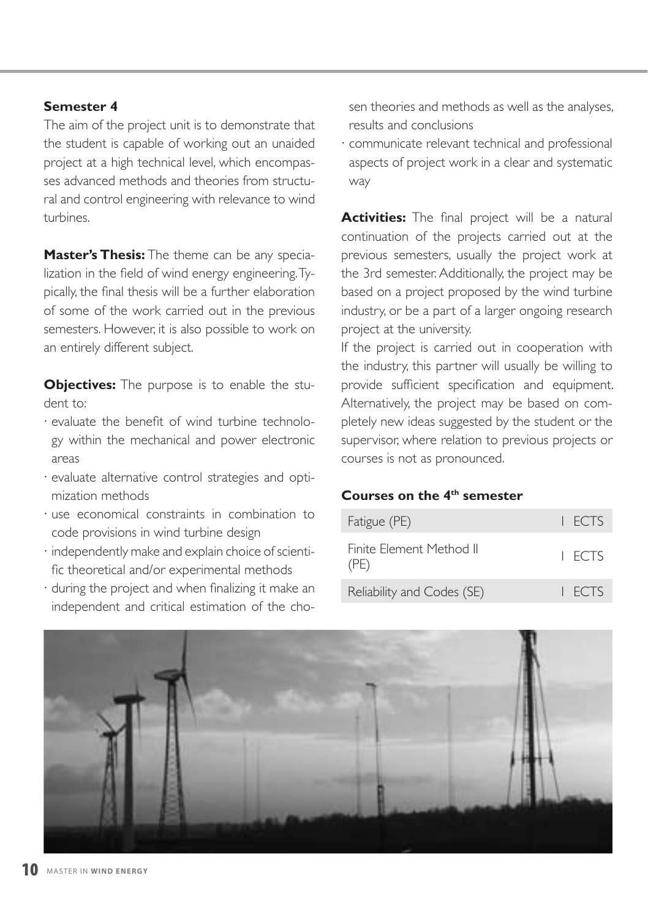The aim of the project unit is to demonstrate that the student is capable of working out an unaided project at a high technical level, which encompasses advanced methods and theories from structural and control engineering with relevance to wind turbines.

**Master's Thesis:** The theme can be any specialization in the field of wind energy engineering. Typically, the final thesis will be a further elaboration of some of the work carried out in the previous semesters. However, it is also possible to work on an entirely different subject.

**Objectives:** The purpose is to enable the student to:

- · evaluate the benefit of wind turbine technology within the mechanical and power electronic areas
- · evaluate alternative control strategies and optimization methods
- · use economical constraints in combination to code provisions in wind turbine design
- · independently make and explain choice of scientific theoretical and/or experimental methods
- · during the project and when finalizing it make an independent and critical estimation of the cho-

sen theories and methods as well as the analyses, results and conclusions

· communicate relevant technical and professional aspects of project work in a clear and systematic way

**Activities:** The final project will be a natural continuation of the projects carried out at the previous semesters, usually the project work at the 3rd semester. Additionally, the project may be based on a project proposed by the wind turbine industry, or be a part of a larger ongoing research project at the university.

If the project is carried out in cooperation with the industry, this partner will usually be willing to provide sufficient specification and equipment. Alternatively, the project may be based on completely new ideas suggested by the student or the supervisor, where relation to previous projects or courses is not as pronounced.

#### **Courses on the 4th semester**

| Fatigue (PE)                     | I FCTS |
|----------------------------------|--------|
| Finite Element Method II<br>(PE) | I FCTS |
| Reliability and Codes (SE)       | I FCTS |

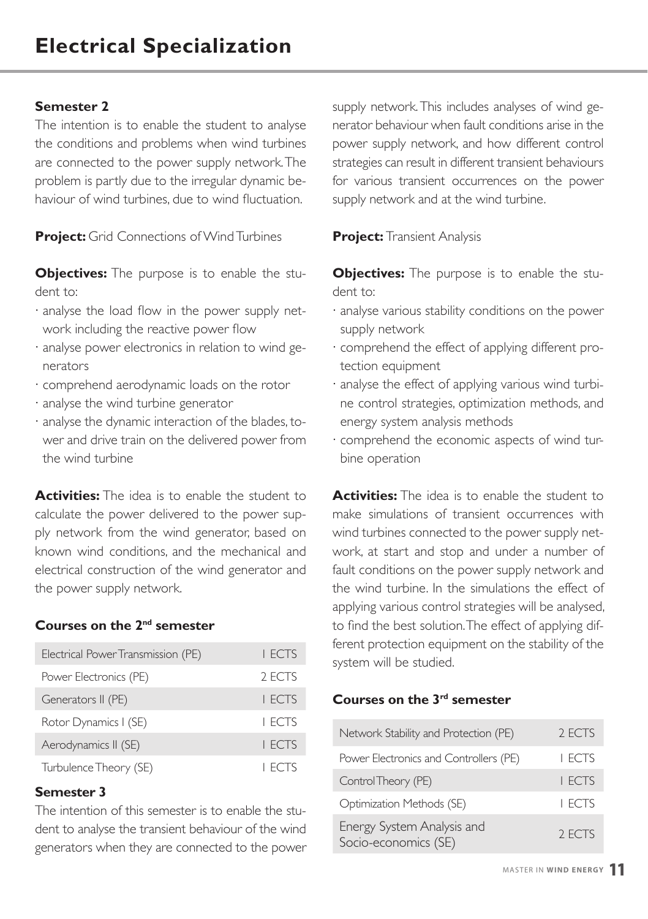The intention is to enable the student to analyse the conditions and problems when wind turbines are connected to the power supply network. The problem is partly due to the irregular dynamic behaviour of wind turbines, due to wind fluctuation.

**Project:** Grid Connections of Wind Turbines

**Objectives:** The purpose is to enable the student to:

- · analyse the load flow in the power supply network including the reactive power flow
- · analyse power electronics in relation to wind generators
- · comprehend aerodynamic loads on the rotor
- · analyse the wind turbine generator
- · analyse the dynamic interaction of the blades, tower and drive train on the delivered power from the wind turbine

**Activities:** The idea is to enable the student to calculate the power delivered to the power supply network from the wind generator, based on known wind conditions, and the mechanical and electrical construction of the wind generator and the power supply network.

#### **Courses on the 2nd semester**

| Electrical Power Transmission (PE) | I FCTS        |
|------------------------------------|---------------|
| Power Electronics (PE)             | 2 FCTS        |
| Generators II (PE)                 | <b>I FCTS</b> |
| Rotor Dynamics I (SE)              | I FCTS        |
| Aerodynamics II (SE)               | <b>I FCTS</b> |
| Turbulence Theory (SE)             | <b>I FCTS</b> |

#### **Semester 3**

The intention of this semester is to enable the student to analyse the transient behaviour of the wind generators when they are connected to the power supply network. This includes analyses of wind generator behaviour when fault conditions arise in the power supply network, and how different control strategies can result in different transient behaviours for various transient occurrences on the power supply network and at the wind turbine.

**Project:** Transient Analysis

**Objectives:** The purpose is to enable the student to:

- · analyse various stability conditions on the power supply network
- · comprehend the effect of applying different protection equipment
- · analyse the effect of applying various wind turbine control strategies, optimization methods, and energy system analysis methods
- · comprehend the economic aspects of wind turbine operation

**Activities:** The idea is to enable the student to make simulations of transient occurrences with wind turbines connected to the power supply network, at start and stop and under a number of fault conditions on the power supply network and the wind turbine. In the simulations the effect of applying various control strategies will be analysed, to find the best solution. The effect of applying different protection equipment on the stability of the system will be studied.

#### **Courses on the 3rd semester**

| Network Stability and Protection (PE)              | 2 FCTS        |
|----------------------------------------------------|---------------|
| Power Electronics and Controllers (PE)             | <b>I ECTS</b> |
| Control Theory (PE)                                | <b>I FCTS</b> |
| Optimization Methods (SE)                          | <b>I FCTS</b> |
| Energy System Analysis and<br>Socio-economics (SE) | 2 FCTS        |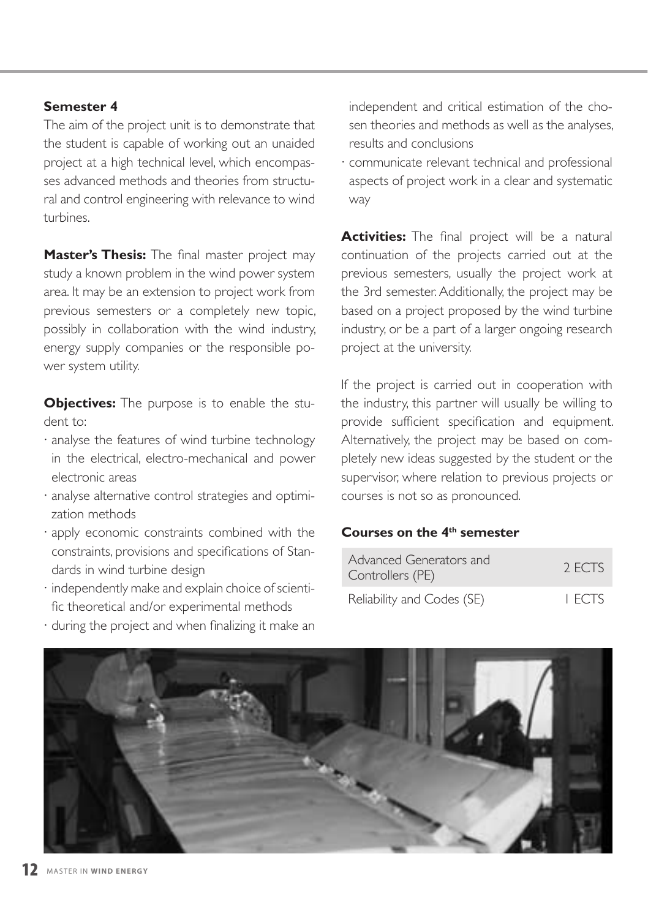The aim of the project unit is to demonstrate that the student is capable of working out an unaided project at a high technical level, which encompasses advanced methods and theories from structural and control engineering with relevance to wind turbines.

**Master's Thesis:** The final master project may study a known problem in the wind power system area. It may be an extension to project work from previous semesters or a completely new topic, possibly in collaboration with the wind industry, energy supply companies or the responsible power system utility.

**Objectives:** The purpose is to enable the student to:

- · analyse the features of wind turbine technology in the electrical, electro-mechanical and power electronic areas
- · analyse alternative control strategies and optimization methods
- · apply economic constraints combined with the constraints, provisions and specifications of Standards in wind turbine design
- · independently make and explain choice of scientific theoretical and/or experimental methods
- · during the project and when finalizing it make an

independent and critical estimation of the chosen theories and methods as well as the analyses, results and conclusions

· communicate relevant technical and professional aspects of project work in a clear and systematic way

**Activities:** The final project will be a natural continuation of the projects carried out at the previous semesters, usually the project work at the 3rd semester. Additionally, the project may be based on a project proposed by the wind turbine industry, or be a part of a larger ongoing research project at the university.

If the project is carried out in cooperation with the industry, this partner will usually be willing to provide sufficient specification and equipment. Alternatively, the project may be based on completely new ideas suggested by the student or the supervisor, where relation to previous projects or courses is not so as pronounced.

### **Courses on the 4th semester**

| Advanced Generators and<br>Controllers (PE) | 2 FCTS |
|---------------------------------------------|--------|
| Reliability and Codes (SE)                  | I FCTS |

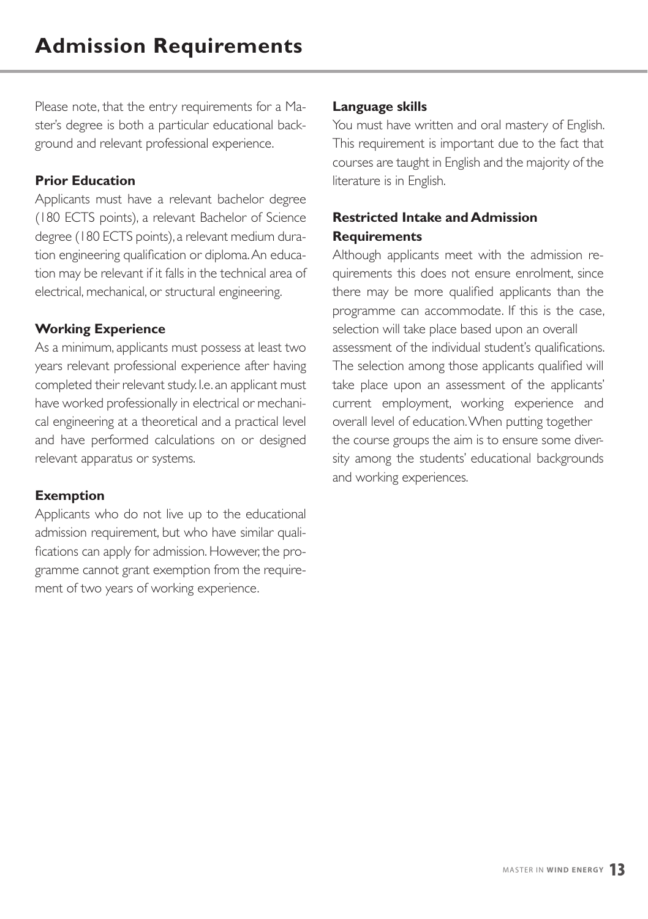Please note, that the entry requirements for a Master's degree is both a particular educational background and relevant professional experience.

#### **Prior Education**

Applicants must have a relevant bachelor degree (180 ECTS points), a relevant Bachelor of Science degree (180 ECTS points), a relevant medium duration engineering qualification or diploma. An education may be relevant if it falls in the technical area of electrical, mechanical, or structural engineering.

#### **Working Experience**

As a minimum, applicants must possess at least two years relevant professional experience after having completed their relevant study. I.e. an applicant must have worked professionally in electrical or mechanical engineering at a theoretical and a practical level and have performed calculations on or designed relevant apparatus or systems.

#### **Exemption**

Applicants who do not live up to the educational admission requirement, but who have similar qualifications can apply for admission. However, the programme cannot grant exemption from the requirement of two years of working experience.

#### **Language skills**

You must have written and oral mastery of English. This requirement is important due to the fact that courses are taught in English and the majority of the literature is in English.

### **Restricted Intake and Admission Requirements**

Although applicants meet with the admission requirements this does not ensure enrolment, since there may be more qualified applicants than the programme can accommodate. If this is the case, selection will take place based upon an overall assessment of the individual student's qualifications. The selection among those applicants qualified will take place upon an assessment of the applicants' current employment, working experience and overall level of education. When putting together the course groups the aim is to ensure some diversity among the students' educational backgrounds and working experiences.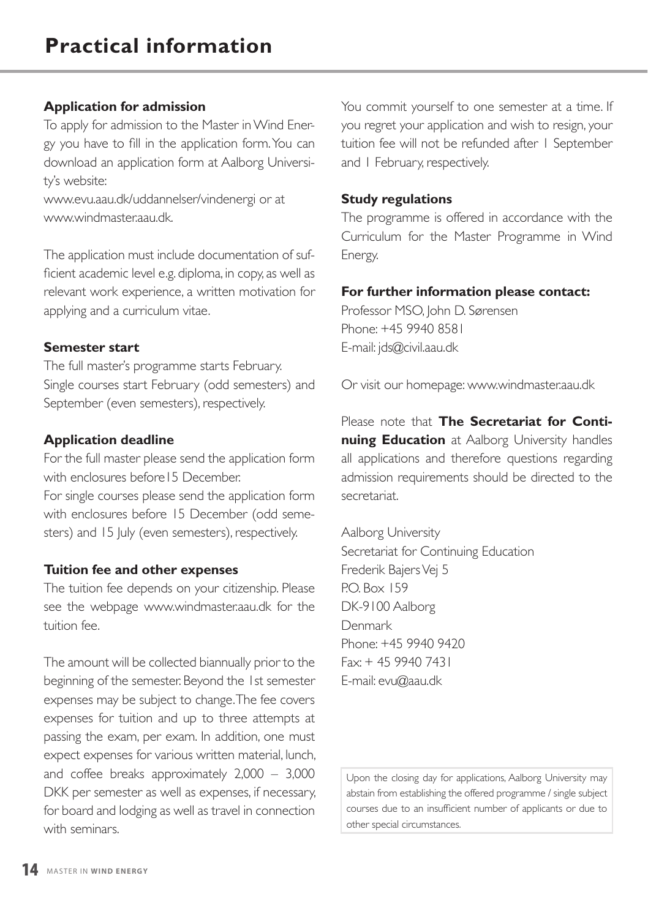#### **Application for admission**

To apply for admission to the Master in Wind Energy you have to fill in the application form. You can download an application form at Aalborg University's website:

www.evu.aau.dk/uddannelser/vindenergi or at www.windmaster.aau.dk

The application must include documentation of sufficient academic level e.g. diploma, in copy, as well as relevant work experience, a written motivation for applying and a curriculum vitae.

#### **Semester start**

The full master's programme starts February. Single courses start February (odd semesters) and September (even semesters), respectively.

#### **Application deadline**

For the full master please send the application form with enclosures before15 December.

For single courses please send the application form with enclosures before 15 December (odd semesters) and 15 July (even semesters), respectively.

#### **Tuition fee and other expenses**

The tuition fee depends on your citizenship. Please see the webpage www.windmaster.aau.dk for the tuition fee.

The amount will be collected biannually prior to the beginning of the semester. Beyond the 1st semester expenses may be subject to change. The fee covers expenses for tuition and up to three attempts at passing the exam, per exam. In addition, one must expect expenses for various written material, lunch, and coffee breaks approximately 2,000 – 3,000 DKK per semester as well as expenses, if necessary, for board and lodging as well as travel in connection with seminars.

You commit yourself to one semester at a time. If you regret your application and wish to resign, your tuition fee will not be refunded after 1 September and 1 February, respectively.

#### **Study regulations**

The programme is offered in accordance with the Curriculum for the Master Programme in Wind Energy.

#### **For further information please contact:**

Professor MSO, John D. Sørensen Phone: +45 9940 8581 E-mail: jds@civil.aau.dk

Or visit our homepage: www.windmaster.aau.dk

Please note that **The Secretariat for Continuing Education** at Aalborg University handles all applications and therefore questions regarding admission requirements should be directed to the secretariat.

Aalborg University Secretariat for Continuing Education Frederik Bajers Vej 5 P.O. Box 159 DK-9100 Aalborg Denmark Phone: +45 9940 9420 Fax: + 45 9940 7431 E-mail: evu@aau.dk

Upon the closing day for applications, Aalborg University may abstain from establishing the offered programme / single subject courses due to an insufficient number of applicants or due to other special circumstances.